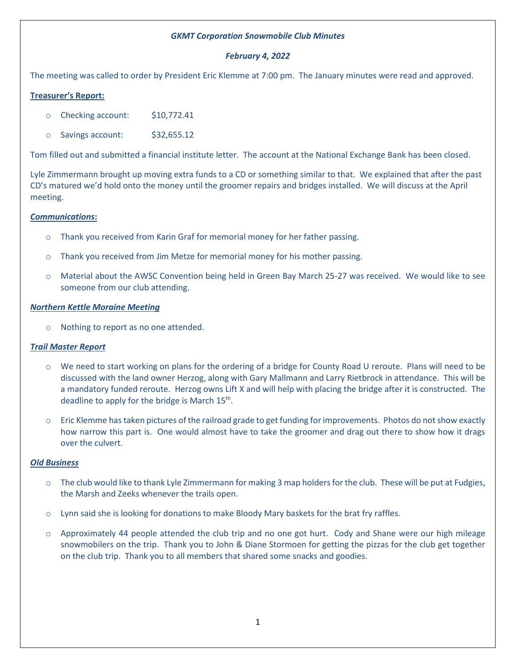### *GKMT Corporation Snowmobile Club Minutes*

## *February 4, 2022*

The meeting was called to order by President Eric Klemme at 7:00 pm. The January minutes were read and approved.

# **Treasurer's Report:**

- o Checking account: \$10,772.41
- o Savings account: \$32,655.12

Tom filled out and submitted a financial institute letter. The account at the National Exchange Bank has been closed.

Lyle Zimmermann brought up moving extra funds to a CD or something similar to that. We explained that after the past CD's matured we'd hold onto the money until the groomer repairs and bridges installed. We will discuss at the April meeting.

## *Communications***:**

- o Thank you received from Karin Graf for memorial money for her father passing.
- o Thank you received from Jim Metze for memorial money for his mother passing.
- o Material about the AWSC Convention being held in Green Bay March 25-27 was received. We would like to see someone from our club attending.

#### *Northern Kettle Moraine Meeting*

o Nothing to report as no one attended.

#### *Trail Master Report*

- o We need to start working on plans for the ordering of a bridge for County Road U reroute. Plans will need to be discussed with the land owner Herzog, along with Gary Mallmann and Larry Rietbrock in attendance. This will be a mandatory funded reroute. Herzog owns Lift X and will help with placing the bridge after it is constructed. The deadline to apply for the bridge is March 15<sup>th</sup>.
- $\circ$  Eric Klemme has taken pictures of the railroad grade to get funding for improvements. Photos do not show exactly how narrow this part is. One would almost have to take the groomer and drag out there to show how it drags over the culvert.

#### *Old Business*

- $\circ$  The club would like to thank Lyle Zimmermann for making 3 map holders for the club. These will be put at Fudgies, the Marsh and Zeeks whenever the trails open.
- o Lynn said she is looking for donations to make Bloody Mary baskets for the brat fry raffles.
- o Approximately 44 people attended the club trip and no one got hurt. Cody and Shane were our high mileage snowmobilers on the trip. Thank you to John & Diane Stormoen for getting the pizzas for the club get together on the club trip. Thank you to all members that shared some snacks and goodies.